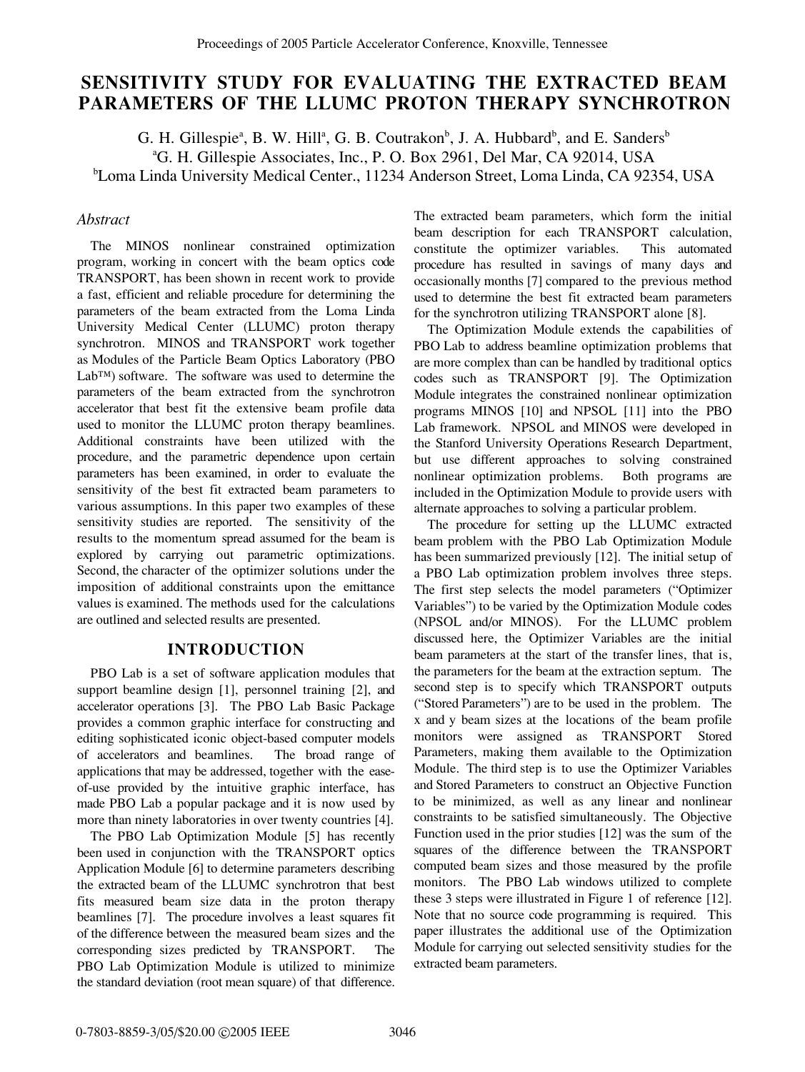# **SENSITIVITY STUDY FOR EVALUATING THE EXTRACTED BEAM PARAMETERS OF THE LLUMC PROTON THERAPY SYNCHROTRON**

G. H. Gillespie<sup>a</sup>, B. W. Hill<sup>a</sup>, G. B. Coutrakon<sup>b</sup>, J. A. Hubbard<sup>b</sup>, and E. Sanders<sup>b</sup> a G. H. Gillespie Associates, Inc., P. O. Box 2961, Del Mar, CA 92014, USA b Loma Linda University Medical Center., 11234 Anderson Street, Loma Linda, CA 92354, USA

## *Abstract*

The MINOS nonlinear constrained optimization program, working in concert with the beam optics code TRANSPORT, has been shown in recent work to provide a fast, efficient and reliable procedure for determining the parameters of the beam extracted from the Loma Linda University Medical Center (LLUMC) proton therapy synchrotron. MINOS and TRANSPORT work together as Modules of the Particle Beam Optics Laboratory (PBO Lab™) software. The software was used to determine the parameters of the beam extracted from the synchrotron accelerator that best fit the extensive beam profile data used to monitor the LLUMC proton therapy beamlines. Additional constraints have been utilized with the procedure, and the parametric dependence upon certain parameters has been examined, in order to evaluate the sensitivity of the best fit extracted beam parameters to various assumptions. In this paper two examples of these sensitivity studies are reported. The sensitivity of the results to the momentum spread assumed for the beam is explored by carrying out parametric optimizations. Second, the character of the optimizer solutions under the imposition of additional constraints upon the emittance values is examined. The methods used for the calculations are outlined and selected results are presented.

## **INTRODUCTION**

PBO Lab is a set of software application modules that support beamline design [1], personnel training [2], and accelerator operations [3]. The PBO Lab Basic Package provides a common graphic interface for constructing and editing sophisticated iconic object-based computer models of accelerators and beamlines. The broad range of applications that may be addressed, together with the easeof-use provided by the intuitive graphic interface, has made PBO Lab a popular package and it is now used by more than ninety laboratories in over twenty countries [4].

The PBO Lab Optimization Module [5] has recently been used in conjunction with the TRANSPORT optics Application Module [6] to determine parameters describing the extracted beam of the LLUMC synchrotron that best fits measured beam size data in the proton therapy beamlines [7]. The procedure involves a least squares fit of the difference between the measured beam sizes and the corresponding sizes predicted by TRANSPORT. The PBO Lab Optimization Module is utilized to minimize the standard deviation (root mean square) of that difference.

The extracted beam parameters, which form the initial beam description for each TRANSPORT calculation, constitute the optimizer variables. This automated procedure has resulted in savings of many days and occasionally months [7] compared to the previous method used to determine the best fit extracted beam parameters for the synchrotron utilizing TRANSPORT alone [8].

The Optimization Module extends the capabilities of PBO Lab to address beamline optimization problems that are more complex than can be handled by traditional optics codes such as TRANSPORT [9]. The Optimization Module integrates the constrained nonlinear optimization programs MINOS [10] and NPSOL [11] into the PBO Lab framework. NPSOL and MINOS were developed in the Stanford University Operations Research Department, but use different approaches to solving constrained nonlinear optimization problems. Both programs are included in the Optimization Module to provide users with alternate approaches to solving a particular problem.

The procedure for setting up the LLUMC extracted beam problem with the PBO Lab Optimization Module has been summarized previously [12]. The initial setup of a PBO Lab optimization problem involves three steps. The first step selects the model parameters ("Optimizer Variables") to be varied by the Optimization Module codes (NPSOL and/or MINOS). For the LLUMC problem discussed here, the Optimizer Variables are the initial beam parameters at the start of the transfer lines, that is, the parameters for the beam at the extraction septum. The second step is to specify which TRANSPORT outputs ("Stored Parameters") are to be used in the problem. The x and y beam sizes at the locations of the beam profile monitors were assigned as TRANSPORT Stored Parameters, making them available to the Optimization Module. The third step is to use the Optimizer Variables and Stored Parameters to construct an Objective Function to be minimized, as well as any linear and nonlinear constraints to be satisfied simultaneously. The Objective Function used in the prior studies [12] was the sum of the squares of the difference between the TRANSPORT computed beam sizes and those measured by the profile monitors. The PBO Lab windows utilized to complete these 3 steps were illustrated in Figure 1 of reference [12]. Note that no source code programming is required. This paper illustrates the additional use of the Optimization Module for carrying out selected sensitivity studies for the extracted beam parameters.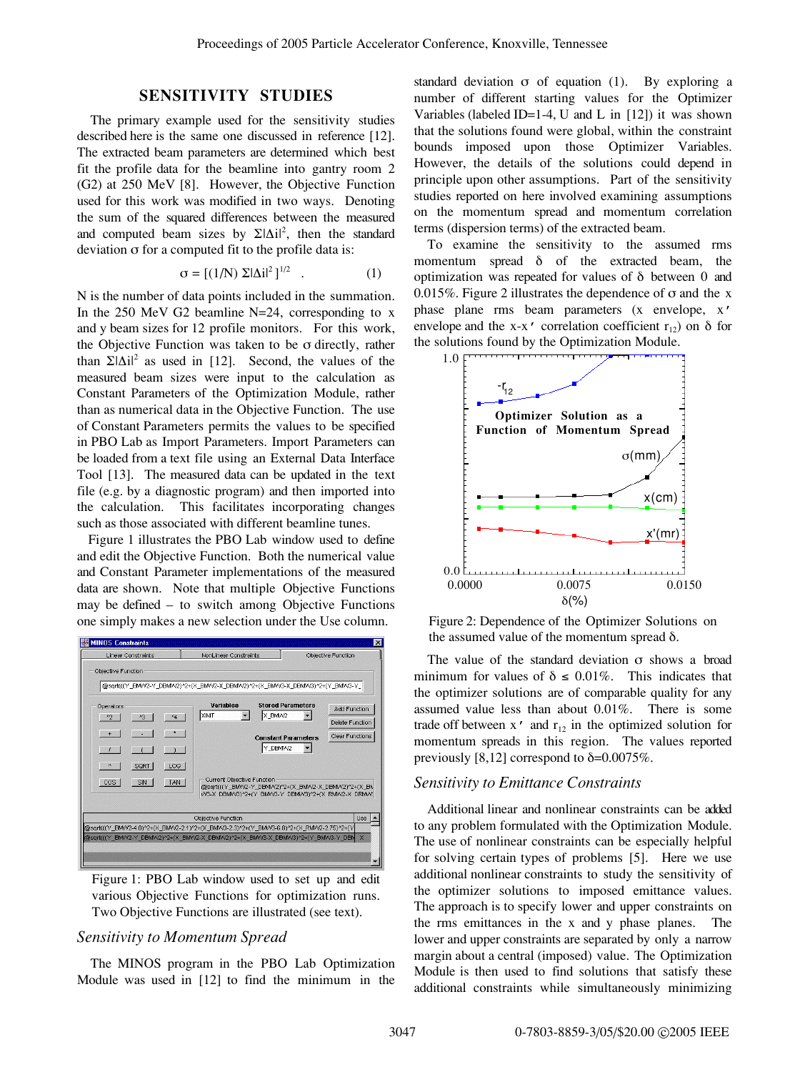### **SENSITIVITY STUDIES**

The primary example used for the sensitivity studies described here is the same one discussed in reference [12]. The extracted beam parameters are determined which best fit the profile data for the beamline into gantry room 2 (G2) at 250 MeV [8]. However, the Objective Function used for this work was modified in two ways. Denoting the sum of the squared differences between the measured and computed beam sizes by  $\Sigma|\Delta i|^2$ , then the standard deviation σ for a computed fit to the profile data is:

$$
\sigma = [(1/N) \ \Sigma |\Delta i|^2]^{1/2} \quad . \tag{1}
$$

N is the number of data points included in the summation. In the 250 MeV G2 beamline N=24, corresponding to x and y beam sizes for 12 profile monitors. For this work, the Objective Function was taken to be σ directly, rather than  $\Sigma |\Delta i|^2$  as used in [12]. Second, the values of the measured beam sizes were input to the calculation as Constant Parameters of the Optimization Module, rather than as numerical data in the Objective Function. The use of Constant Parameters permits the values to be specified in PBO Lab as Import Parameters. Import Parameters can be loaded from a text file using an External Data Interface Tool [13]. The measured data can be updated in the text file (e.g. by a diagnostic program) and then imported into the calculation. This facilitates incorporating changes such as those associated with different beamline tunes.

 Figure 1 illustrates the PBO Lab window used to define and edit the Objective Function. Both the numerical value and Constant Parameter implementations of the measured data are shown. Note that multiple Objective Functions may be defined – to switch among Objective Functions one simply makes a new selection under the Use column.



Figure 1: PBO Lab window used to set up and edit various Objective Functions for optimization runs. Two Objective Functions are illustrated (see text).

#### *Sensitivity to Momentum Spread*

The MINOS program in the PBO Lab Optimization Module was used in [12] to find the minimum in the

standard deviation  $\sigma$  of equation (1). By exploring a number of different starting values for the Optimizer Variables (labeled ID=1-4, U and L in  $[12]$ ) it was shown that the solutions found were global, within the constraint bounds imposed upon those Optimizer Variables. However, the details of the solutions could depend in principle upon other assumptions. Part of the sensitivity studies reported on here involved examining assumptions on the momentum spread and momentum correlation terms (dispersion terms) of the extracted beam.

To examine the sensitivity to the assumed rms momentum spread δ of the extracted beam, the optimization was repeated for values of δ between 0 and 0.015%. Figure 2 illustrates the dependence of  $\sigma$  and the x phase plane rms beam parameters (x envelope, x' envelope and the x-x' correlation coefficient  $r_{12}$ ) on  $\delta$  for the solutions found by the Optimization Module.



Figure 2: Dependence of the Optimizer Solutions on the assumed value of the momentum spread  $δ$ .

The value of the standard deviation σ shows a broad minimum for values of  $\delta \leq 0.01\%$ . This indicates that the optimizer solutions are of comparable quality for any assumed value less than about 0.01%. There is some trade off between  $x'$  and  $r_{12}$  in the optimized solution for momentum spreads in this region. The values reported previously  $[8,12]$  correspond to  $\delta = 0.0075\%$ .

#### *Sensitivity to Emittance Constraints*

Additional linear and nonlinear constraints can be added to any problem formulated with the Optimization Module. The use of nonlinear constraints can be especially helpful for solving certain types of problems [5]. Here we use additional nonlinear constraints to study the sensitivity of the optimizer solutions to imposed emittance values. The approach is to specify lower and upper constraints on the rms emittances in the x and y phase planes. The lower and upper constraints are separated by only a narrow margin about a central (imposed) value. The Optimization Module is then used to find solutions that satisfy these additional constraints while simultaneously minimizing